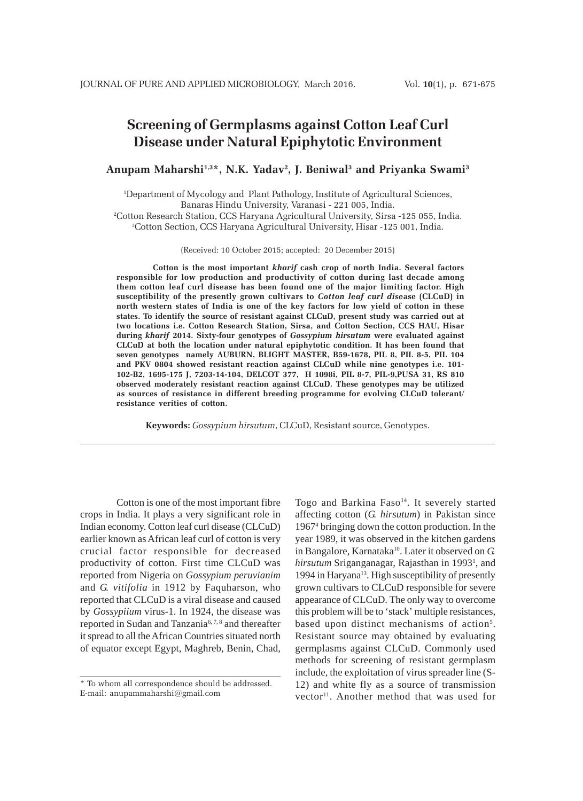# **Screening of Germplasms against Cotton Leaf Curl Disease under Natural Epiphytotic Environment**

### Anupam Maharshi<sup>1,3\*</sup>, N.K. Yadav<sup>2</sup>, J. Beniwal<sup>3</sup> and Priyanka Swami<sup>3</sup>

1 Department of Mycology and Plant Pathology, Institute of Agricultural Sciences, Banaras Hindu University, Varanasi - 221 005, India.

2 Cotton Research Station, CCS Haryana Agricultural University, Sirsa -125 055, India. 3 Cotton Section, CCS Haryana Agricultural University, Hisar -125 001, India.

(Received: 10 October 2015; accepted: 20 December 2015)

**Cotton is the most important** *kharif* **cash crop of north India. Several factors responsible for low production and productivity of cotton during last decade among them cotton leaf curl disease has been found one of the major limiting factor. High susceptibility of the presently grown cultivars to** *Cotton leaf curl dise***ase (CLCuD) in north western states of India is one of the key factors for low yield of cotton in these states. To identify the source of resistant against CLCuD, present study was carried out at two locations i.e. Cotton Research Station, Sirsa, and Cotton Section, CCS HAU, Hisar during** *kharif* **2014. Sixty-four genotypes of** *Gossypium hirsutum* **were evaluated against CLCuD at both the location under natural epiphytotic condition. It has been found that seven genotypes namely AUBURN, BLIGHT MASTER, B59-1678, PIL 8, PIL 8-5, PIL 104 and PKV 0804 showed resistant reaction against CLCuD while nine genotypes i.e. 101- 102-B2, 1695-175 J, 7203-14-104, DELCOT 377, H 1098i, PIL 8-7, PIL-9,PUSA 31, RS 810 observed moderately resistant reaction against CLCuD. These genotypes may be utilized as sources of resistance in different breeding programme for evolving CLCuD tolerant/ resistance verities of cotton.**

**Keywords:** *Gossypium hirsutum*, CLCuD, Resistant source, Genotypes.

Cotton is one of the most important fibre crops in India. It plays a very significant role in Indian economy. Cotton leaf curl disease (CLCuD) earlier known as African leaf curl of cotton is very crucial factor responsible for decreased productivity of cotton. First time CLCuD was reported from Nigeria on *Gossypium peruvianim* and *G. vitifolia* in 1912 by Faquharson, who reported that CLCuD is a viral disease and caused by *Gossypiium* virus-1. In 1924, the disease was reported in Sudan and Tanzania6, 7, 8 and thereafter it spread to all the African Countries situated north of equator except Egypt, Maghreb, Benin, Chad,

Togo and Barkina Faso<sup>14</sup>. It severely started affecting cotton (*G. hirsutum*) in Pakistan since 19674 bringing down the cotton production. In the year 1989, it was observed in the kitchen gardens in Bangalore, Karnataka<sup>10</sup>. Later it observed on G. hirsutum Sriganganagar, Rajasthan in 1993<sup>1</sup>, and 1994 in Haryana<sup>13</sup>. High susceptibility of presently grown cultivars to CLCuD responsible for severe appearance of CLCuD. The only way to overcome this problem will be to 'stack' multiple resistances, based upon distinct mechanisms of action<sup>5</sup>. Resistant source may obtained by evaluating germplasms against CLCuD. Commonly used methods for screening of resistant germplasm include, the exploitation of virus spreader line (S-12) and white fly as a source of transmission vector<sup>11</sup>. Another method that was used for

<sup>\*</sup> To whom all correspondence should be addressed. E-mail: anupammaharshi@gmail.com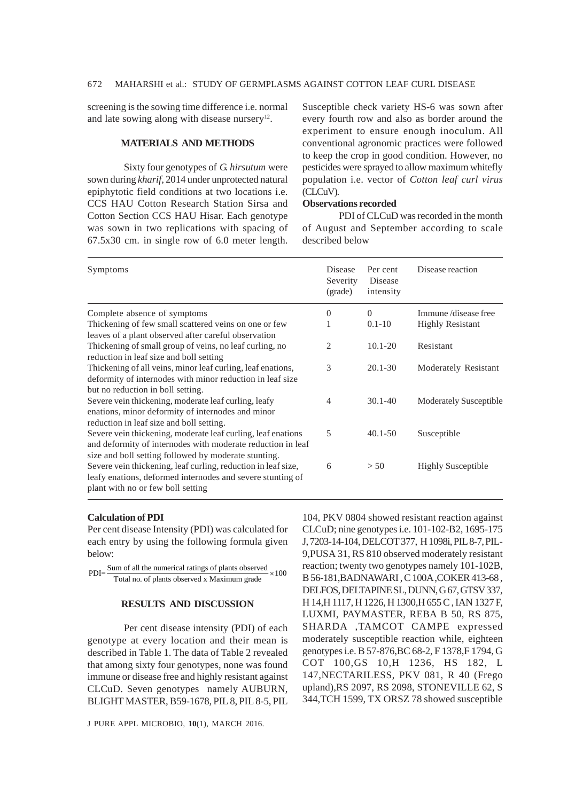screening is the sowing time difference i.e. normal and late sowing along with disease nursery $12$ .

## **MATERIALS AND METHODS**

Sixty four genotypes of *G. hirsutum* were sown during *kharif*, 2014 under unprotected natural epiphytotic field conditions at two locations i.e. CCS HAU Cotton Research Station Sirsa and Cotton Section CCS HAU Hisar. Each genotype was sown in two replications with spacing of 67.5x30 cm. in single row of 6.0 meter length.

Susceptible check variety HS-6 was sown after every fourth row and also as border around the experiment to ensure enough inoculum. All conventional agronomic practices were followed to keep the crop in good condition. However, no pesticides were sprayed to allow maximum whitefly population i.e. vector of *Cotton leaf curl virus* (CLCuV).

## **Observations recorded**

PDI of CLCuD was recorded in the month of August and September according to scale described below

| Symptoms                                                                                                                                                                            | Disease<br>Severity<br>(grade) | Per cent<br><b>Disease</b><br>intensity | Disease reaction              |
|-------------------------------------------------------------------------------------------------------------------------------------------------------------------------------------|--------------------------------|-----------------------------------------|-------------------------------|
| Complete absence of symptoms                                                                                                                                                        | $\Omega$                       | $\Omega$                                | Immune/disease free           |
| Thickening of few small scattered veins on one or few                                                                                                                               |                                | $0.1 - 10$                              | <b>Highly Resistant</b>       |
| leaves of a plant observed after careful observation                                                                                                                                |                                |                                         |                               |
| Thickening of small group of veins, no leaf curling, no<br>reduction in leaf size and boll setting                                                                                  | 2                              | $10.1 - 20$                             | Resistant                     |
| Thickening of all veins, minor leaf curling, leaf enations,<br>deformity of internodes with minor reduction in leaf size<br>but no reduction in boll setting.                       | 3                              | $20.1 - 30$                             | Moderately Resistant          |
| Severe vein thickening, moderate leaf curling, leafy<br>enations, minor deformity of internodes and minor<br>reduction in leaf size and boll setting.                               | $\overline{\mathcal{A}}$       | $30.1 - 40$                             | <b>Moderately Susceptible</b> |
| Severe vein thickening, moderate leaf curling, leaf enations<br>and deformity of internodes with moderate reduction in leaf<br>size and boll setting followed by moderate stunting. | 5                              | $40.1 - 50$                             | Susceptible                   |
| Severe vein thickening, leaf curling, reduction in leaf size,<br>leafy enations, deformed internodes and severe stunting of<br>plant with no or few boll setting                    | 6                              | > 50                                    | <b>Highly Susceptible</b>     |

## **Calculation of PDI**

Per cent disease Intensity (PDI) was calculated for each entry by using the following formula given below:

 $PDI = \frac{Sum of all the numerical ratings of plants observed}{\times 100}$ Total no. of plants observed x Maximum grade

#### **RESULTS AND DISCUSSION**

Per cent disease intensity (PDI) of each genotype at every location and their mean is described in Table 1. The data of Table 2 revealed that among sixty four genotypes, none was found immune or disease free and highly resistant against CLCuD. Seven genotypes namely AUBURN, BLIGHT MASTER, B59-1678, PIL 8, PIL 8-5, PIL

J PURE APPL MICROBIO*,* **10**(1), MARCH 2016.

104, PKV 0804 showed resistant reaction against CLCuD; nine genotypes i.e. 101-102-B2, 1695-175 J, 7203-14-104, DELCOT 377, H 1098i, PIL 8-7, PIL-9,PUSA 31, RS 810 observed moderately resistant reaction; twenty two genotypes namely 101-102B, B 56-181,BADNAWARI , C 100A ,COKER 413-68 , DELFOS, DELTAPINE SL, DUNN, G 67, GTSV 337, H 14,H 1117, H 1226, H 1300,H 655 C , IAN 1327 F, LUXMI, PAYMASTER, REBA B 50, RS 875, SHARDA ,TAMCOT CAMPE expressed moderately susceptible reaction while, eighteen genotypes i.e. B 57-876,BC 68-2, F 1378,F 1794, G COT 100,GS 10,H 1236, HS 182, L 147,NECTARILESS, PKV 081, R 40 (Frego upland),RS 2097, RS 2098, STONEVILLE 62, S 344,TCH 1599, TX ORSZ 78 showed susceptible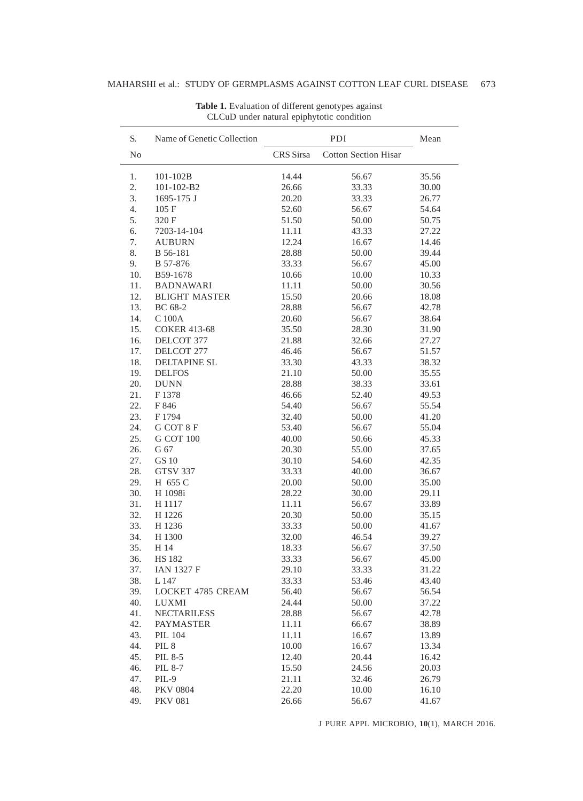| S.             | Name of Genetic Collection |                                          | Mean           |       |
|----------------|----------------------------|------------------------------------------|----------------|-------|
| N <sub>0</sub> |                            | CRS Sirsa<br><b>Cotton Section Hisar</b> |                |       |
| 1.             | $101 - 102B$               | 14.44                                    | 56.67          | 35.56 |
| 2.             | 101-102-B2                 | 26.66                                    | 33.33          | 30.00 |
| 3.             | 1695-175 J                 | 20.20                                    | 33.33          | 26.77 |
| 4.             | 105 F                      | 52.60                                    | 56.67          | 54.64 |
| 5.             | 320 F                      | 51.50                                    | 50.00          | 50.75 |
| 6.             | 7203-14-104                | 11.11                                    | 43.33          | 27.22 |
| 7.             | <b>AUBURN</b>              | 12.24                                    | 16.67          | 14.46 |
| 8.             | B 56-181                   | 28.88                                    | 50.00          | 39.44 |
| 9.             | B 57-876                   | 33.33                                    | 56.67          | 45.00 |
| 10.            | B59-1678                   | 10.66                                    | 10.00          | 10.33 |
| 11.            | <b>BADNAWARI</b>           | 11.11                                    | 50.00          | 30.56 |
| 12.            | <b>BLIGHT MASTER</b>       | 15.50                                    | 20.66          | 18.08 |
| 13.            | BC 68-2                    | 28.88                                    | 56.67          | 42.78 |
| 14.            | C 100A                     | 20.60                                    | 56.67          | 38.64 |
| 15.            | <b>COKER 413-68</b>        | 35.50                                    | 28.30          | 31.90 |
| 16.            | DELCOT 377                 | 21.88                                    | 32.66          | 27.27 |
| 17.            | DELCOT 277                 | 46.46                                    | 56.67          | 51.57 |
| 18.            | DELTAPINE SL               | 33.30                                    | 43.33          | 38.32 |
| 19.            | <b>DELFOS</b>              | 21.10                                    | 50.00          | 35.55 |
| 20.            | <b>DUNN</b>                | 28.88                                    | 38.33          | 33.61 |
| 21.            | F1378                      | 46.66                                    | 52.40          | 49.53 |
| 22.            | F 846                      | 54.40                                    | 56.67          | 55.54 |
| 23.            | F 1794                     | 32.40                                    | 50.00          | 41.20 |
| 24.            | G COT 8 F                  | 53.40                                    | 56.67          | 55.04 |
| 25.            | <b>G COT 100</b>           | 40.00                                    | 50.66          | 45.33 |
| 26.            | G 67                       | 20.30                                    | 55.00          | 37.65 |
| 27.            | <b>GS10</b>                | 30.10                                    | 54.60          | 42.35 |
| 28.            | <b>GTSV 337</b>            | 33.33                                    | 40.00          | 36.67 |
| 29.            | H 655 C                    | 20.00                                    | 50.00          | 35.00 |
| 30.            | H 1098i                    | 28.22                                    | 30.00          | 29.11 |
| 31.            | H 1117                     | 11.11                                    | 56.67          | 33.89 |
| 32.            | H 1226                     | 20.30                                    | 50.00          | 35.15 |
| 33.            | H 1236                     | 33.33                                    | 50.00          | 41.67 |
| 34.            | H 1300                     | 32.00                                    | 46.54          | 39.27 |
| 35.            | H 14                       | 18.33                                    |                | 37.50 |
| 36.            | <b>HS182</b>               |                                          | 56.67<br>56.67 |       |
| 37.            | <b>IAN 1327 F</b>          | 33.33                                    |                | 45.00 |
|                |                            | 29.10                                    | 33.33          | 31.22 |
| 38.            | L 147                      | 33.33                                    | 53.46          | 43.40 |
| 39.            | <b>LOCKET 4785 CREAM</b>   | 56.40                                    | 56.67          | 56.54 |
| 40.            | LUXMI                      | 24.44                                    | 50.00          | 37.22 |
| 41.            | <b>NECTARILESS</b>         | 28.88                                    | 56.67          | 42.78 |
| 42.            | <b>PAYMASTER</b>           | 11.11                                    | 66.67          | 38.89 |
| 43.            | <b>PIL 104</b>             | 11.11                                    | 16.67          | 13.89 |
| 44.            | PIL <sub>8</sub>           | 10.00                                    | 16.67          | 13.34 |
| 45.            | PIL 8-5                    | 12.40                                    | 20.44          | 16.42 |
| 46.            | <b>PIL 8-7</b>             | 15.50                                    | 24.56          | 20.03 |
| 47.            | PIL-9                      | 21.11                                    | 32.46          | 26.79 |
| 48.            | <b>PKV 0804</b>            | 22.20                                    | 10.00          | 16.10 |
| 49.            | <b>PKV 081</b>             | 26.66                                    | 56.67          | 41.67 |

**Table 1.** Evaluation of different genotypes against CLCuD under natural epiphytotic condition

J PURE APPL MICROBIO*,* **10**(1), MARCH 2016.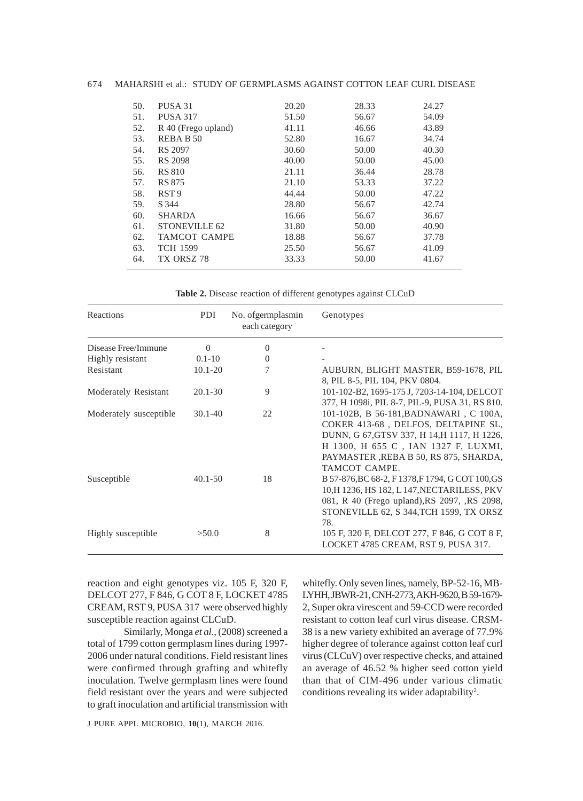#### 674 MAHARSHI et al.: STUDY OF GERMPLASMS AGAINST COTTON LEAF CURL DISEASE

| 50. | PUSA 31                  | 20.20 | 28.33 | 24.27 |
|-----|--------------------------|-------|-------|-------|
| 51. | <b>PUSA 317</b>          | 51.50 | 56.67 | 54.09 |
| 52. | R 40 (Frego upland)      | 41.11 | 46.66 | 43.89 |
| 53. | REBA B 50                | 52.80 | 16.67 | 34.74 |
| 54. | <b>RS 2097</b>           | 30.60 | 50.00 | 40.30 |
| 55. | <b>RS 2098</b>           | 40.00 | 50.00 | 45.00 |
| 56. | <b>RS 810</b>            | 21.11 | 36.44 | 28.78 |
| 57. | <b>RS 875</b>            | 21.10 | 53.33 | 37.22 |
| 58. | RST <sub>9</sub>         | 44.44 | 50.00 | 47.22 |
| 59. | S 344                    | 28.80 | 56.67 | 42.74 |
| 60. | <b>SHARDA</b>            | 16.66 | 56.67 | 36.67 |
| 61. | STONEVILLE <sub>62</sub> | 31.80 | 50.00 | 40.90 |
| 62. | <b>TAMCOT CAMPE</b>      | 18.88 | 56.67 | 37.78 |
| 63. | <b>TCH 1599</b>          | 25.50 | 56.67 | 41.09 |
| 64. | TX ORSZ 78               | 33.33 | 50.00 | 41.67 |
|     |                          |       |       |       |

**Table 2.** Disease reaction of different genotypes against CLCuD

| Reactions              | PDI         | No. ofgermplasmin<br>each category | Genotypes                                                                                                                                                                                                                      |
|------------------------|-------------|------------------------------------|--------------------------------------------------------------------------------------------------------------------------------------------------------------------------------------------------------------------------------|
| Disease Free/Immune    | $\Omega$    | $\overline{0}$                     |                                                                                                                                                                                                                                |
| Highly resistant       | $0.1 - 10$  | $\overline{0}$                     |                                                                                                                                                                                                                                |
| Resistant              | $10.1 - 20$ | 7                                  | AUBURN, BLIGHT MASTER, B59-1678, PIL<br>8, PIL 8-5, PIL 104, PKV 0804.                                                                                                                                                         |
| Moderately Resistant   | $20.1 - 30$ | 9                                  | 101-102-B2, 1695-175 J, 7203-14-104, DELCOT<br>377, H 1098i, PIL 8-7, PIL-9, PUSA 31, RS 810.                                                                                                                                  |
| Moderately susceptible | $30.1 - 40$ | 22                                 | 101-102B, B 56-181, BADNAWARI, C 100A,<br>COKER 413-68, DELFOS, DELTAPINE SL,<br>DUNN, G 67, GTSV 337, H 14, H 1117, H 1226,<br>H 1300, H 655 C , IAN 1327 F, LUXMI,<br>PAYMASTER, REBA B 50, RS 875, SHARDA,<br>TAMCOT CAMPE. |
| Susceptible            | $40.1 - 50$ | 18                                 | B 57-876, BC 68-2, F 1378, F 1794, G COT 100, GS<br>10, H 1236, HS 182, L 147, NECTARILESS, PKV<br>081, R 40 (Frego upland), RS 2097, , RS 2098,<br>STONEVILLE 62, S 344, TCH 1599, TX ORSZ<br>78.                             |
| Highly susceptible     | >50.0       | 8                                  | 105 F, 320 F, DELCOT 277, F 846, G COT 8 F,<br>LOCKET 4785 CREAM, RST 9, PUSA 317.                                                                                                                                             |

reaction and eight genotypes viz. 105 F, 320 F, DELCOT 277, F 846, G COT 8 F, LOCKET 4785 CREAM, RST 9, PUSA 317 were observed highly susceptible reaction against CLCuD.

Similarly, Monga *et al.,* (2008) screened a total of 1799 cotton germplasm lines during 1997- 2006 under natural conditions. Field resistant lines were confirmed through grafting and whitefly inoculation. Twelve germplasm lines were found field resistant over the years and were subjected to graft inoculation and artificial transmission with

whitefly. Only seven lines, namely, BP-52-16, MB-LYHH, JBWR-21, CNH-2773, AKH-9620, B 59-1679- 2, Super okra virescent and 59-CCD were recorded resistant to cotton leaf curl virus disease. CRSM-38 is a new variety exhibited an average of 77.9% higher degree of tolerance against cotton leaf curl virus (CLCuV) over respective checks, and attained an average of 46.52 % higher seed cotton yield than that of CIM-496 under various climatic conditions revealing its wider adaptability<sup>2</sup>.

J PURE APPL MICROBIO*,* **10**(1), MARCH 2016.